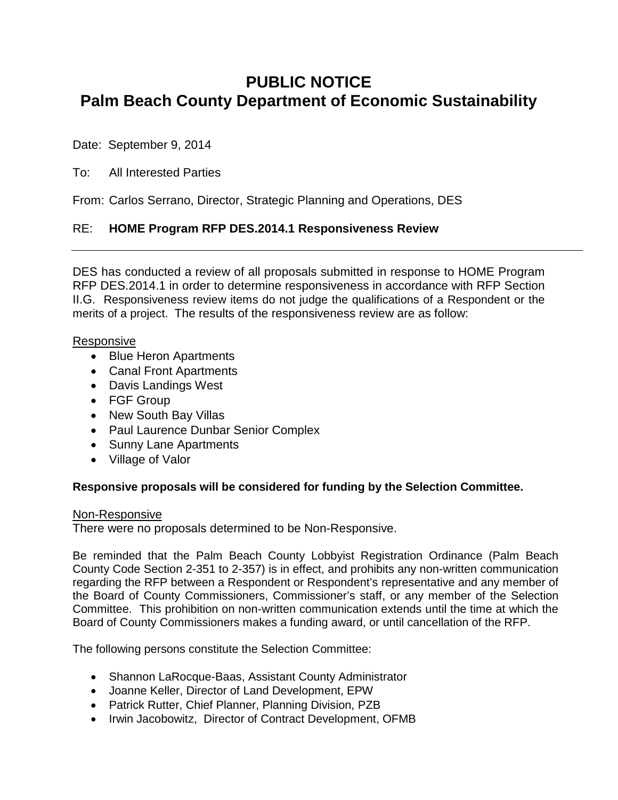# **PUBLIC NOTICE Palm Beach County Department of Economic Sustainability**

Date: September 9, 2014

## To: All Interested Parties

From: Carlos Serrano, Director, Strategic Planning and Operations, DES

## RE: **HOME Program RFP DES.2014.1 Responsiveness Review**

DES has conducted a review of all proposals submitted in response to HOME Program RFP DES.2014.1 in order to determine responsiveness in accordance with RFP Section II.G. Responsiveness review items do not judge the qualifications of a Respondent or the merits of a project. The results of the responsiveness review are as follow:

#### Responsive

- Blue Heron Apartments
- Canal Front Apartments
- Davis Landings West
- FGF Group
- New South Bay Villas
- Paul Laurence Dunbar Senior Complex
- Sunny Lane Apartments
- Village of Valor

### **Responsive proposals will be considered for funding by the Selection Committee.**

#### Non-Responsive

There were no proposals determined to be Non-Responsive.

Be reminded that the Palm Beach County Lobbyist Registration Ordinance (Palm Beach County Code Section 2-351 to 2-357) is in effect, and prohibits any non-written communication regarding the RFP between a Respondent or Respondent's representative and any member of the Board of County Commissioners, Commissioner's staff, or any member of the Selection Committee. This prohibition on non-written communication extends until the time at which the Board of County Commissioners makes a funding award, or until cancellation of the RFP.

The following persons constitute the Selection Committee:

- Shannon LaRocque-Baas, Assistant County Administrator
- Joanne Keller, Director of Land Development, EPW
- Patrick Rutter, Chief Planner, Planning Division, PZB
- Irwin Jacobowitz, Director of Contract Development, OFMB